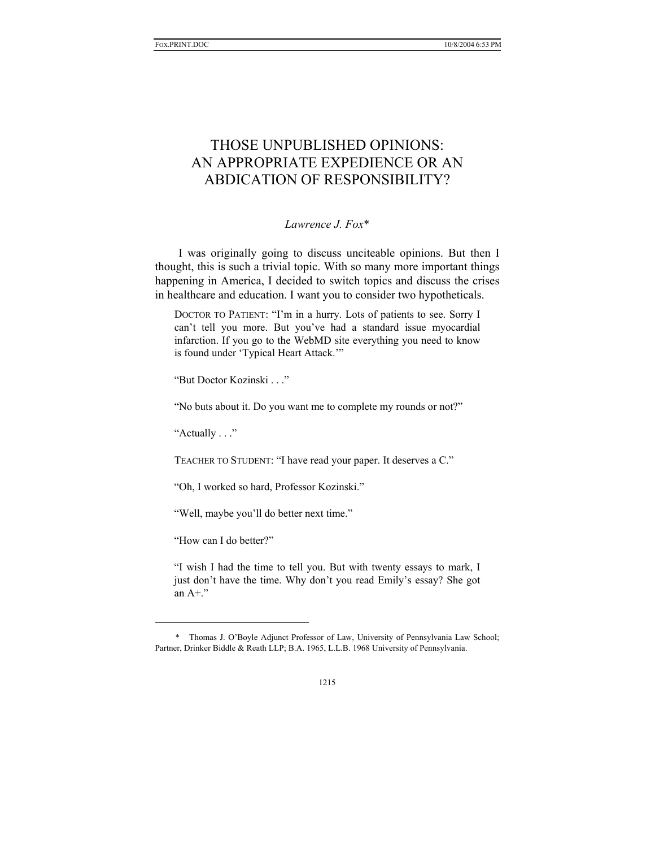# THOSE UNPUBLISHED OPINIONS: AN APPROPRIATE EXPEDIENCE OR AN ABDICATION OF RESPONSIBILITY?

*Lawrence J. Fox*\*

I was originally going to discuss unciteable opinions. But then I thought, this is such a trivial topic. With so many more important things happening in America, I decided to switch topics and discuss the crises in healthcare and education. I want you to consider two hypotheticals.

DOCTOR TO PATIENT: "I'm in a hurry. Lots of patients to see. Sorry I can't tell you more. But you've had a standard issue myocardial infarction. If you go to the WebMD site everything you need to know is found under 'Typical Heart Attack.'"

"But Doctor Kozinski . . ."

"No buts about it. Do you want me to complete my rounds or not?"

"Actually . . ."

TEACHER TO STUDENT: "I have read your paper. It deserves a C."

"Oh, I worked so hard, Professor Kozinski."

"Well, maybe you'll do better next time."

"How can I do better?"

l

"I wish I had the time to tell you. But with twenty essays to mark, I just don't have the time. Why don't you read Emily's essay? She got an A+."

 <sup>\*</sup> Thomas J. O'Boyle Adjunct Professor of Law, University of Pennsylvania Law School; Partner, Drinker Biddle & Reath LLP; B.A. 1965, L.L.B. 1968 University of Pennsylvania.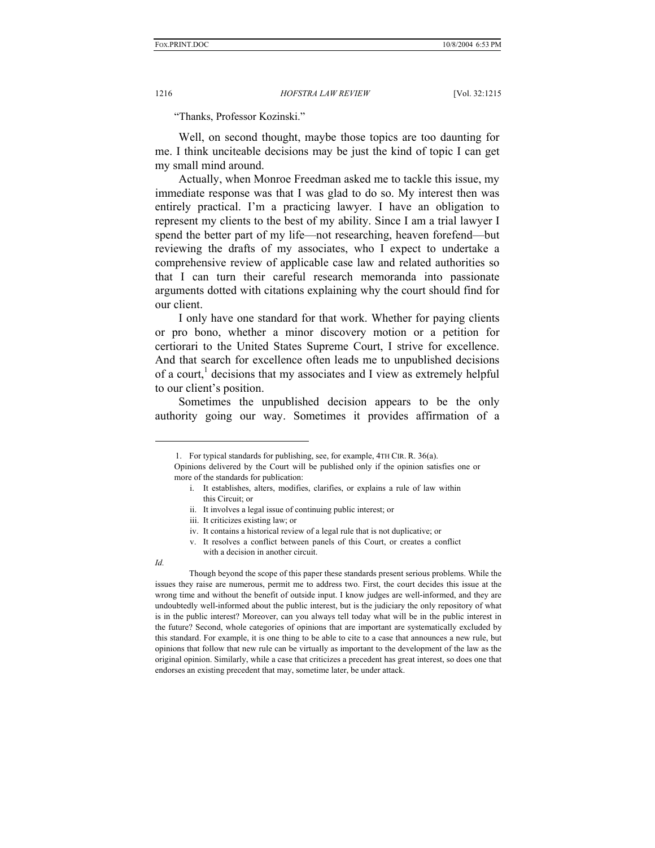"Thanks, Professor Kozinski."

Well, on second thought, maybe those topics are too daunting for me. I think unciteable decisions may be just the kind of topic I can get my small mind around.

Actually, when Monroe Freedman asked me to tackle this issue, my immediate response was that I was glad to do so. My interest then was entirely practical. I'm a practicing lawyer. I have an obligation to represent my clients to the best of my ability. Since I am a trial lawyer I spend the better part of my life—not researching, heaven forefend—but reviewing the drafts of my associates, who I expect to undertake a comprehensive review of applicable case law and related authorities so that I can turn their careful research memoranda into passionate arguments dotted with citations explaining why the court should find for our client.

I only have one standard for that work. Whether for paying clients or pro bono, whether a minor discovery motion or a petition for certiorari to the United States Supreme Court, I strive for excellence. And that search for excellence often leads me to unpublished decisions of a court,<sup>1</sup> decisions that my associates and I view as extremely helpful to our client's position.

Sometimes the unpublished decision appears to be the only authority going our way. Sometimes it provides affirmation of a

ii. It involves a legal issue of continuing public interest; or

l

 Though beyond the scope of this paper these standards present serious problems. While the issues they raise are numerous, permit me to address two. First, the court decides this issue at the wrong time and without the benefit of outside input. I know judges are well-informed, and they are undoubtedly well-informed about the public interest, but is the judiciary the only repository of what is in the public interest? Moreover, can you always tell today what will be in the public interest in the future? Second, whole categories of opinions that are important are systematically excluded by this standard. For example, it is one thing to be able to cite to a case that announces a new rule, but opinions that follow that new rule can be virtually as important to the development of the law as the original opinion. Similarly, while a case that criticizes a precedent has great interest, so does one that endorses an existing precedent that may, sometime later, be under attack.

 <sup>1.</sup> For typical standards for publishing, see, for example, 4TH CIR. R. 36(a).

Opinions delivered by the Court will be published only if the opinion satisfies one or more of the standards for publication:

i. It establishes, alters, modifies, clarifies, or explains a rule of law within this Circuit; or

iii. It criticizes existing law; or

iv. It contains a historical review of a legal rule that is not duplicative; or

v. It resolves a conflict between panels of this Court, or creates a conflict with a decision in another circuit.

*Id.*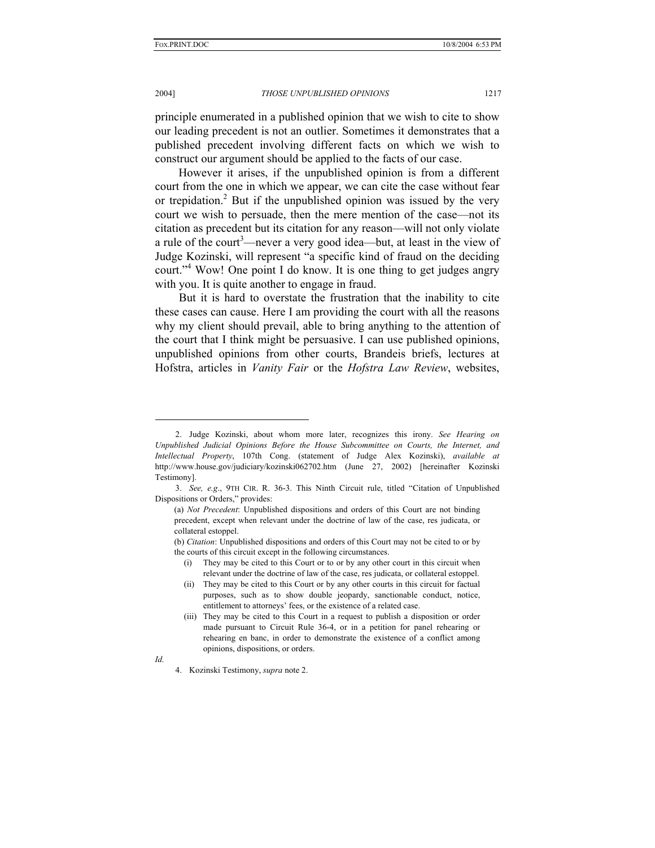2004] *THOSE UNPUBLISHED OPINIONS* 1217

principle enumerated in a published opinion that we wish to cite to show our leading precedent is not an outlier. Sometimes it demonstrates that a published precedent involving different facts on which we wish to construct our argument should be applied to the facts of our case.

However it arises, if the unpublished opinion is from a different court from the one in which we appear, we can cite the case without fear or trepidation.<sup>2</sup> But if the unpublished opinion was issued by the very court we wish to persuade, then the mere mention of the case—not its citation as precedent but its citation for any reason—will not only violate a rule of the court<sup>3</sup>—never a very good idea—but, at least in the view of Judge Kozinski, will represent "a specific kind of fraud on the deciding court."4 Wow! One point I do know. It is one thing to get judges angry with you. It is quite another to engage in fraud.

But it is hard to overstate the frustration that the inability to cite these cases can cause. Here I am providing the court with all the reasons why my client should prevail, able to bring anything to the attention of the court that I think might be persuasive. I can use published opinions, unpublished opinions from other courts, Brandeis briefs, lectures at Hofstra, articles in *Vanity Fair* or the *Hofstra Law Review*, websites,

 <sup>2.</sup> Judge Kozinski, about whom more later, recognizes this irony. *See Hearing on Unpublished Judicial Opinions Before the House Subcommittee on Courts, the Internet, and Intellectual Property*, 107th Cong. (statement of Judge Alex Kozinski), *available at* http://www.house.gov/judiciary/kozinski062702.htm (June 27, 2002) [hereinafter Kozinski Testimony].

 <sup>3.</sup> *See, e.g*., 9TH CIR. R. 36-3. This Ninth Circuit rule, titled "Citation of Unpublished Dispositions or Orders," provides:

<sup>(</sup>a) *Not Precedent*: Unpublished dispositions and orders of this Court are not binding precedent, except when relevant under the doctrine of law of the case, res judicata, or collateral estoppel.

<sup>(</sup>b) *Citation*: Unpublished dispositions and orders of this Court may not be cited to or by the courts of this circuit except in the following circumstances.

<sup>(</sup>i) They may be cited to this Court or to or by any other court in this circuit when relevant under the doctrine of law of the case, res judicata, or collateral estoppel.

<sup>(</sup>ii) They may be cited to this Court or by any other courts in this circuit for factual purposes, such as to show double jeopardy, sanctionable conduct, notice, entitlement to attorneys' fees, or the existence of a related case.

<sup>(</sup>iii) They may be cited to this Court in a request to publish a disposition or order made pursuant to Circuit Rule 36-4, or in a petition for panel rehearing or rehearing en banc, in order to demonstrate the existence of a conflict among opinions, dispositions, or orders.

*Id.*

 <sup>4.</sup> Kozinski Testimony, *supra* note 2.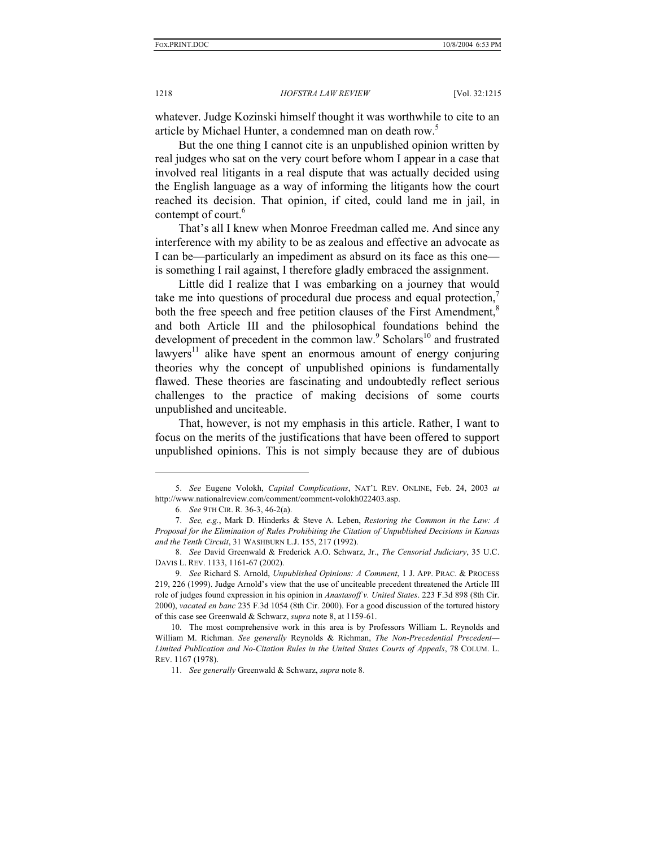whatever. Judge Kozinski himself thought it was worthwhile to cite to an article by Michael Hunter, a condemned man on death row.<sup>5</sup>

But the one thing I cannot cite is an unpublished opinion written by real judges who sat on the very court before whom I appear in a case that involved real litigants in a real dispute that was actually decided using the English language as a way of informing the litigants how the court reached its decision. That opinion, if cited, could land me in jail, in contempt of court.<sup>6</sup>

That's all I knew when Monroe Freedman called me. And since any interference with my ability to be as zealous and effective an advocate as I can be—particularly an impediment as absurd on its face as this one is something I rail against, I therefore gladly embraced the assignment.

Little did I realize that I was embarking on a journey that would take me into questions of procedural due process and equal protection, both the free speech and free petition clauses of the First Amendment,<sup>8</sup> and both Article III and the philosophical foundations behind the development of precedent in the common law.<sup>9</sup> Scholars<sup>10</sup> and frustrated lawyers<sup>11</sup> alike have spent an enormous amount of energy conjuring theories why the concept of unpublished opinions is fundamentally flawed. These theories are fascinating and undoubtedly reflect serious challenges to the practice of making decisions of some courts unpublished and unciteable.

That, however, is not my emphasis in this article. Rather, I want to focus on the merits of the justifications that have been offered to support unpublished opinions. This is not simply because they are of dubious

 <sup>5.</sup> *See* Eugene Volokh, *Capital Complications*, NAT'L REV. ONLINE, Feb. 24, 2003 *at*  http://www.nationalreview.com/comment/comment-volokh022403.asp.

 <sup>6.</sup> *See* 9TH CIR. R. 36-3, 46-2(a).

 <sup>7.</sup> *See, e.g.*, Mark D. Hinderks & Steve A. Leben, *Restoring the Common in the Law: A Proposal for the Elimination of Rules Prohibiting the Citation of Unpublished Decisions in Kansas and the Tenth Circuit*, 31 WASHBURN L.J. 155, 217 (1992).

 <sup>8.</sup> *See* David Greenwald & Frederick A.O. Schwarz, Jr., *The Censorial Judiciary*, 35 U.C. DAVIS L. REV. 1133, 1161-67 (2002).

 <sup>9.</sup> *See* Richard S. Arnold, *Unpublished Opinions: A Comment*, 1 J. APP. PRAC. & PROCESS 219, 226 (1999). Judge Arnold's view that the use of unciteable precedent threatened the Article III role of judges found expression in his opinion in *Anastasoff v. United States*. 223 F.3d 898 (8th Cir. 2000), *vacated en banc* 235 F.3d 1054 (8th Cir. 2000). For a good discussion of the tortured history of this case see Greenwald & Schwarz, *supra* note 8, at 1159-61.

 <sup>10.</sup> The most comprehensive work in this area is by Professors William L. Reynolds and William M. Richman. *See generally* Reynolds & Richman, *The Non-Precedential Precedent— Limited Publication and No-Citation Rules in the United States Courts of Appeals*, 78 COLUM. L. REV. 1167 (1978).

 <sup>11.</sup> *See generally* Greenwald & Schwarz, *supra* note 8.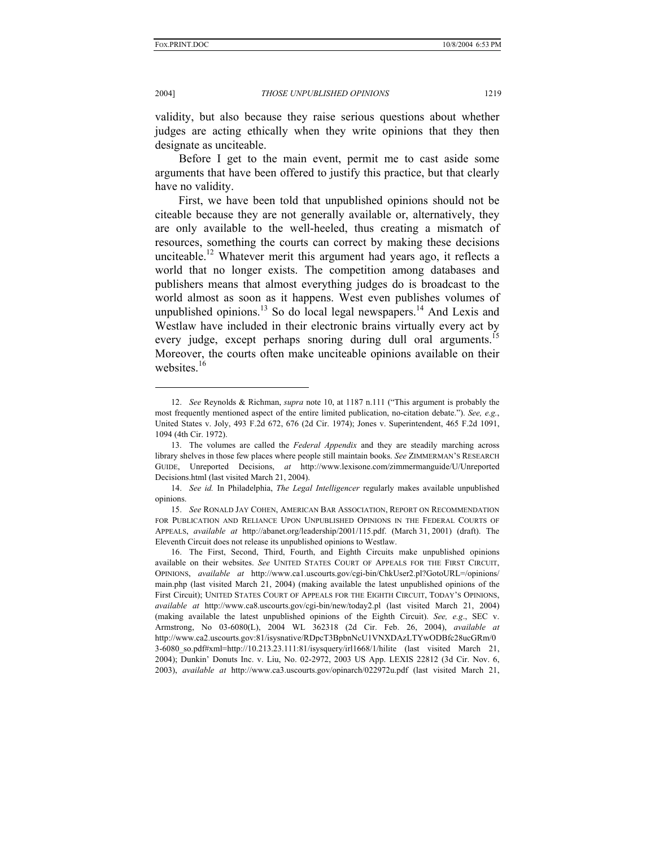l

2004] *THOSE UNPUBLISHED OPINIONS* 1219

validity, but also because they raise serious questions about whether judges are acting ethically when they write opinions that they then designate as unciteable.

Before I get to the main event, permit me to cast aside some arguments that have been offered to justify this practice, but that clearly have no validity.

First, we have been told that unpublished opinions should not be citeable because they are not generally available or, alternatively, they are only available to the well-heeled, thus creating a mismatch of resources, something the courts can correct by making these decisions unciteable.<sup>12</sup> Whatever merit this argument had years ago, it reflects a world that no longer exists. The competition among databases and publishers means that almost everything judges do is broadcast to the world almost as soon as it happens. West even publishes volumes of unpublished opinions.<sup>13</sup> So do local legal newspapers.<sup>14</sup> And Lexis and Westlaw have included in their electronic brains virtually every act by every judge, except perhaps snoring during dull oral arguments.<sup>1</sup> Moreover, the courts often make unciteable opinions available on their websites.<sup>16</sup>

 14. *See id.* In Philadelphia, *The Legal Intelligencer* regularly makes available unpublished opinions.

 <sup>12.</sup> *See* Reynolds & Richman, *supra* note 10, at 1187 n.111 ("This argument is probably the most frequently mentioned aspect of the entire limited publication, no-citation debate."). *See, e.g.*, United States v. Joly, 493 F.2d 672, 676 (2d Cir. 1974); Jones v. Superintendent, 465 F.2d 1091, 1094 (4th Cir. 1972).

 <sup>13.</sup> The volumes are called the *Federal Appendix* and they are steadily marching across library shelves in those few places where people still maintain books. *See* ZIMMERMAN'S RESEARCH GUIDE, Unreported Decisions, *at* http://www.lexisone.com/zimmermanguide/U/Unreported Decisions.html (last visited March 21, 2004).

 <sup>15.</sup> *See* RONALD JAY COHEN, AMERICAN BAR ASSOCIATION, REPORT ON RECOMMENDATION FOR PUBLICATION AND RELIANCE UPON UNPUBLISHED OPINIONS IN THE FEDERAL COURTS OF APPEALS, *available at* http://abanet.org/leadership/2001/115.pdf. (March 31, 2001) (draft). The Eleventh Circuit does not release its unpublished opinions to Westlaw.

 <sup>16.</sup> The First, Second, Third, Fourth, and Eighth Circuits make unpublished opinions available on their websites. *See* UNITED STATES COURT OF APPEALS FOR THE FIRST CIRCUIT, OPINIONS, *available at* http://www.ca1.uscourts.gov/cgi-bin/ChkUser2.pl?GotoURL=/opinions/ main.php (last visited March 21, 2004) (making available the latest unpublished opinions of the First Circuit); UNITED STATES COURT OF APPEALS FOR THE EIGHTH CIRCUIT, TODAY'S OPINIONS, *available at* http://www.ca8.uscourts.gov/cgi-bin/new/today2.pl (last visited March 21, 2004) (making available the latest unpublished opinions of the Eighth Circuit). *See, e.g*., SEC v. Armstrong, No 03-6080(L), 2004 WL 362318 (2d Cir. Feb. 26, 2004), *available at*  http://www.ca2.uscourts.gov:81/isysnative/RDpcT3BpbnNcU1VNXDAzLTYwODBfc28ucGRm/0 3-6080\_so.pdf#xml=http://10.213.23.111:81/isysquery/irl1668/1/hilite (last visited March 21, 2004); Dunkin' Donuts Inc. v. Liu, No. 02-2972, 2003 US App. LEXIS 22812 (3d Cir. Nov. 6, 2003), *available at* http://www.ca3.uscourts.gov/opinarch/022972u.pdf (last visited March 21,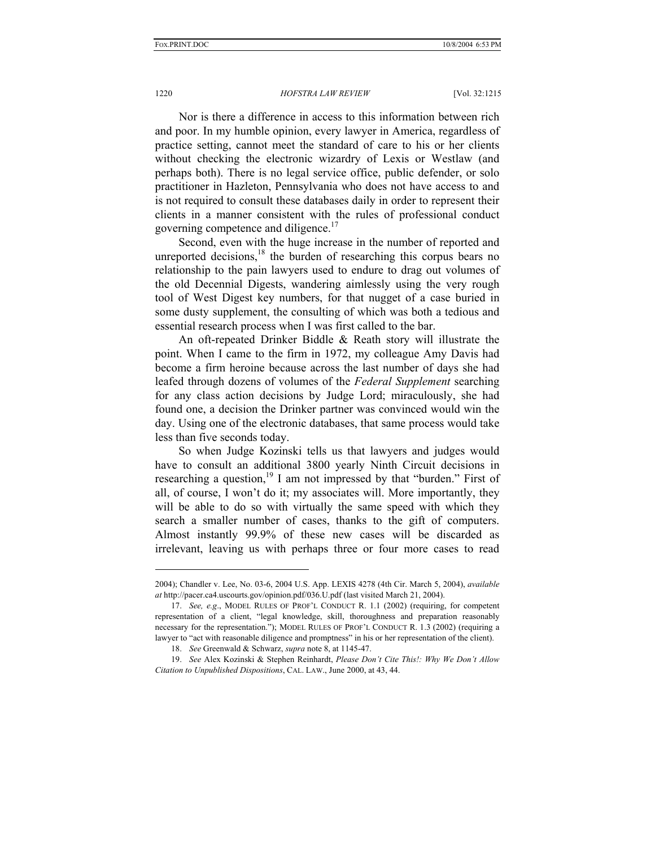Nor is there a difference in access to this information between rich and poor. In my humble opinion, every lawyer in America, regardless of practice setting, cannot meet the standard of care to his or her clients without checking the electronic wizardry of Lexis or Westlaw (and perhaps both). There is no legal service office, public defender, or solo practitioner in Hazleton, Pennsylvania who does not have access to and is not required to consult these databases daily in order to represent their clients in a manner consistent with the rules of professional conduct governing competence and diligence.<sup>17</sup>

Second, even with the huge increase in the number of reported and unreported decisions, $^{18}$  the burden of researching this corpus bears no relationship to the pain lawyers used to endure to drag out volumes of the old Decennial Digests, wandering aimlessly using the very rough tool of West Digest key numbers, for that nugget of a case buried in some dusty supplement, the consulting of which was both a tedious and essential research process when I was first called to the bar.

An oft-repeated Drinker Biddle & Reath story will illustrate the point. When I came to the firm in 1972, my colleague Amy Davis had become a firm heroine because across the last number of days she had leafed through dozens of volumes of the *Federal Supplement* searching for any class action decisions by Judge Lord; miraculously, she had found one, a decision the Drinker partner was convinced would win the day. Using one of the electronic databases, that same process would take less than five seconds today.

So when Judge Kozinski tells us that lawyers and judges would have to consult an additional 3800 yearly Ninth Circuit decisions in researching a question,  $19 \text{ I}$  am not impressed by that "burden." First of all, of course, I won't do it; my associates will. More importantly, they will be able to do so with virtually the same speed with which they search a smaller number of cases, thanks to the gift of computers. Almost instantly 99.9% of these new cases will be discarded as irrelevant, leaving us with perhaps three or four more cases to read

<sup>2004);</sup> Chandler v. Lee, No. 03-6, 2004 U.S. App. LEXIS 4278 (4th Cir. March 5, 2004), *available at* http://pacer.ca4.uscourts.gov/opinion.pdf/036.U.pdf (last visited March 21, 2004).

 <sup>17.</sup> *See, e.g*., MODEL RULES OF PROF'L CONDUCT R. 1.1 (2002) (requiring, for competent representation of a client, "legal knowledge, skill, thoroughness and preparation reasonably necessary for the representation."); MODEL RULES OF PROF'L CONDUCT R. 1.3 (2002) (requiring a lawyer to "act with reasonable diligence and promptness" in his or her representation of the client).

 <sup>18.</sup> *See* Greenwald & Schwarz, *supra* note 8, at 1145-47.

 <sup>19.</sup> *See* Alex Kozinski & Stephen Reinhardt, *Please Don't Cite This!: Why We Don't Allow Citation to Unpublished Dispositions*, CAL. LAW., June 2000, at 43, 44.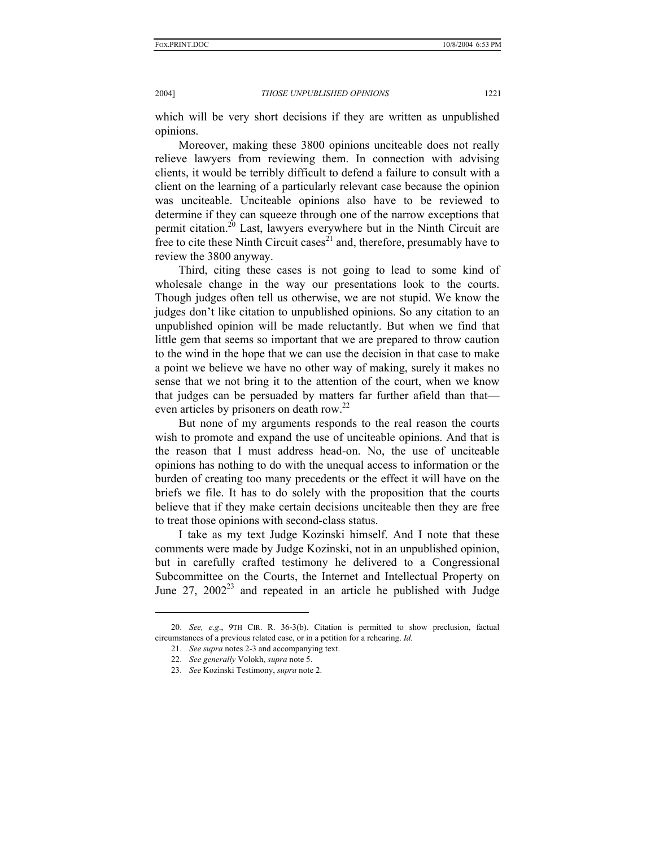2004] *THOSE UNPUBLISHED OPINIONS* 1221

which will be very short decisions if they are written as unpublished opinions.

Moreover, making these 3800 opinions unciteable does not really relieve lawyers from reviewing them. In connection with advising clients, it would be terribly difficult to defend a failure to consult with a client on the learning of a particularly relevant case because the opinion was unciteable. Unciteable opinions also have to be reviewed to determine if they can squeeze through one of the narrow exceptions that permit citation.<sup>20</sup> Last, lawyers everywhere but in the Ninth Circuit are free to cite these Ninth Circuit cases<sup>21</sup> and, therefore, presumably have to review the 3800 anyway.

Third, citing these cases is not going to lead to some kind of wholesale change in the way our presentations look to the courts. Though judges often tell us otherwise, we are not stupid. We know the judges don't like citation to unpublished opinions. So any citation to an unpublished opinion will be made reluctantly. But when we find that little gem that seems so important that we are prepared to throw caution to the wind in the hope that we can use the decision in that case to make a point we believe we have no other way of making, surely it makes no sense that we not bring it to the attention of the court, when we know that judges can be persuaded by matters far further afield than that even articles by prisoners on death row.<sup>22</sup>

But none of my arguments responds to the real reason the courts wish to promote and expand the use of unciteable opinions. And that is the reason that I must address head-on. No, the use of unciteable opinions has nothing to do with the unequal access to information or the burden of creating too many precedents or the effect it will have on the briefs we file. It has to do solely with the proposition that the courts believe that if they make certain decisions unciteable then they are free to treat those opinions with second-class status.

I take as my text Judge Kozinski himself. And I note that these comments were made by Judge Kozinski, not in an unpublished opinion, but in carefully crafted testimony he delivered to a Congressional Subcommittee on the Courts, the Internet and Intellectual Property on June  $27$ ,  $2002^{23}$  and repeated in an article he published with Judge

 <sup>20.</sup> *See, e.g*., 9TH CIR. R. 36-3(b). Citation is permitted to show preclusion, factual circumstances of a previous related case, or in a petition for a rehearing. *Id.*

 <sup>21.</sup> *See supra* notes 2-3 and accompanying text.

 <sup>22.</sup> *See generally* Volokh, *supra* note 5.

 <sup>23.</sup> *See* Kozinski Testimony, *supra* note 2.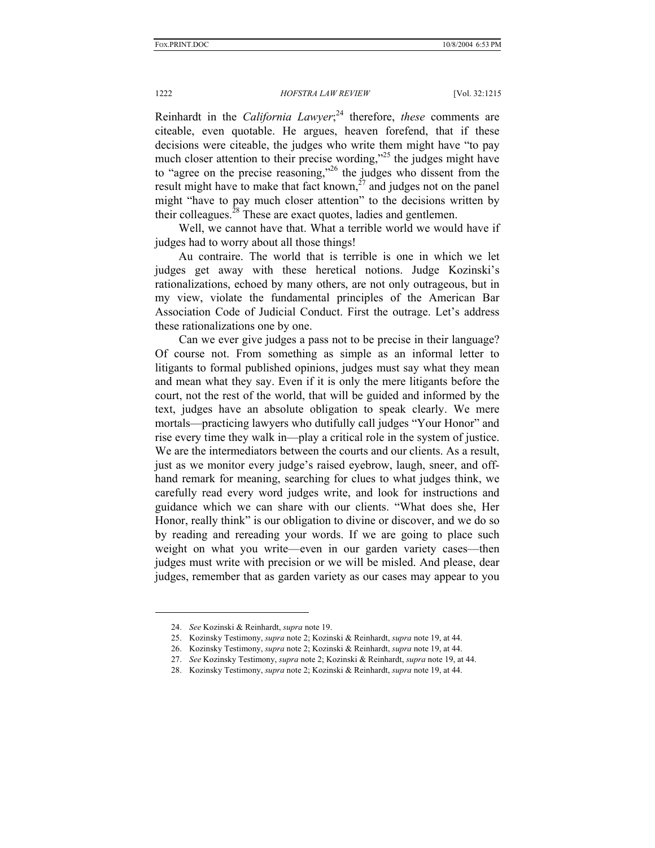Reinhardt in the *California Lawyer*; 24 therefore, *these* comments are citeable, even quotable. He argues, heaven forefend, that if these decisions were citeable, the judges who write them might have "to pay much closer attention to their precise wording,"<sup>25</sup> the judges might have to "agree on the precise reasoning,"26 the judges who dissent from the result might have to make that fact known,<sup> $27$ </sup> and judges not on the panel might "have to pay much closer attention" to the decisions written by their colleagues.<sup>28</sup> These are exact quotes, ladies and gentlemen.

Well, we cannot have that. What a terrible world we would have if judges had to worry about all those things!

Au contraire. The world that is terrible is one in which we let judges get away with these heretical notions. Judge Kozinski's rationalizations, echoed by many others, are not only outrageous, but in my view, violate the fundamental principles of the American Bar Association Code of Judicial Conduct. First the outrage. Let's address these rationalizations one by one.

Can we ever give judges a pass not to be precise in their language? Of course not. From something as simple as an informal letter to litigants to formal published opinions, judges must say what they mean and mean what they say. Even if it is only the mere litigants before the court, not the rest of the world, that will be guided and informed by the text, judges have an absolute obligation to speak clearly. We mere mortals—practicing lawyers who dutifully call judges "Your Honor" and rise every time they walk in—play a critical role in the system of justice. We are the intermediators between the courts and our clients. As a result, just as we monitor every judge's raised eyebrow, laugh, sneer, and offhand remark for meaning, searching for clues to what judges think, we carefully read every word judges write, and look for instructions and guidance which we can share with our clients. "What does she, Her Honor, really think" is our obligation to divine or discover, and we do so by reading and rereading your words. If we are going to place such weight on what you write—even in our garden variety cases—then judges must write with precision or we will be misled. And please, dear judges, remember that as garden variety as our cases may appear to you

 <sup>24.</sup> *See* Kozinski & Reinhardt, *supra* note 19.

 <sup>25.</sup> Kozinsky Testimony, *supra* note 2; Kozinski & Reinhardt, *supra* note 19, at 44.

 <sup>26.</sup> Kozinsky Testimony, *supra* note 2; Kozinski & Reinhardt, *supra* note 19, at 44.

 <sup>27.</sup> *See* Kozinsky Testimony, *supra* note 2; Kozinski & Reinhardt, *supra* note 19, at 44.

 <sup>28.</sup> Kozinsky Testimony, *supra* note 2; Kozinski & Reinhardt, *supra* note 19, at 44.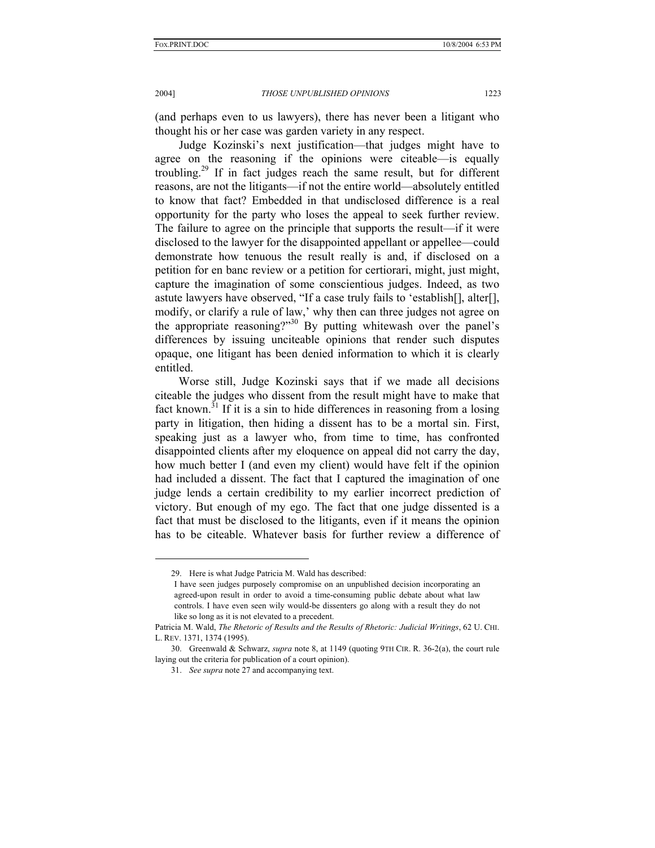l

## 2004] *THOSE UNPUBLISHED OPINIONS* 1223

(and perhaps even to us lawyers), there has never been a litigant who thought his or her case was garden variety in any respect.

Judge Kozinski's next justification—that judges might have to agree on the reasoning if the opinions were citeable—is equally troubling.29 If in fact judges reach the same result, but for different reasons, are not the litigants—if not the entire world—absolutely entitled to know that fact? Embedded in that undisclosed difference is a real opportunity for the party who loses the appeal to seek further review. The failure to agree on the principle that supports the result—if it were disclosed to the lawyer for the disappointed appellant or appellee—could demonstrate how tenuous the result really is and, if disclosed on a petition for en banc review or a petition for certiorari, might, just might, capture the imagination of some conscientious judges. Indeed, as two astute lawyers have observed, "If a case truly fails to 'establish[], alter[], modify, or clarify a rule of law,' why then can three judges not agree on the appropriate reasoning?"30 By putting whitewash over the panel's differences by issuing unciteable opinions that render such disputes opaque, one litigant has been denied information to which it is clearly entitled.

Worse still, Judge Kozinski says that if we made all decisions citeable the judges who dissent from the result might have to make that fact known.<sup>31</sup> If it is a sin to hide differences in reasoning from a losing party in litigation, then hiding a dissent has to be a mortal sin. First, speaking just as a lawyer who, from time to time, has confronted disappointed clients after my eloquence on appeal did not carry the day, how much better I (and even my client) would have felt if the opinion had included a dissent. The fact that I captured the imagination of one judge lends a certain credibility to my earlier incorrect prediction of victory. But enough of my ego. The fact that one judge dissented is a fact that must be disclosed to the litigants, even if it means the opinion has to be citeable. Whatever basis for further review a difference of

 <sup>29.</sup> Here is what Judge Patricia M. Wald has described:

I have seen judges purposely compromise on an unpublished decision incorporating an agreed-upon result in order to avoid a time-consuming public debate about what law controls. I have even seen wily would-be dissenters go along with a result they do not like so long as it is not elevated to a precedent.

Patricia M. Wald, *The Rhetoric of Results and the Results of Rhetoric: Judicial Writings*, 62 U. CHI. L. REV. 1371, 1374 (1995).

 <sup>30.</sup> Greenwald & Schwarz, *supra* note 8, at 1149 (quoting 9TH CIR. R. 36-2(a), the court rule laying out the criteria for publication of a court opinion).

 <sup>31.</sup> *See supra* note 27 and accompanying text.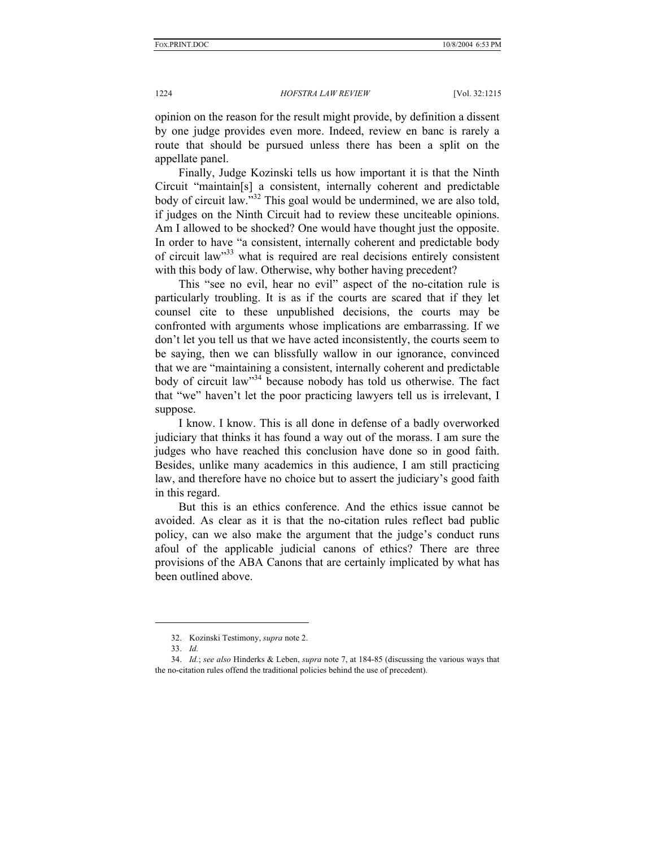opinion on the reason for the result might provide, by definition a dissent by one judge provides even more. Indeed, review en banc is rarely a route that should be pursued unless there has been a split on the appellate panel.

Finally, Judge Kozinski tells us how important it is that the Ninth Circuit "maintain[s] a consistent, internally coherent and predictable body of circuit law."<sup>32</sup> This goal would be undermined, we are also told, if judges on the Ninth Circuit had to review these unciteable opinions. Am I allowed to be shocked? One would have thought just the opposite. In order to have "a consistent, internally coherent and predictable body of circuit law"33 what is required are real decisions entirely consistent with this body of law. Otherwise, why bother having precedent?

This "see no evil, hear no evil" aspect of the no-citation rule is particularly troubling. It is as if the courts are scared that if they let counsel cite to these unpublished decisions, the courts may be confronted with arguments whose implications are embarrassing. If we don't let you tell us that we have acted inconsistently, the courts seem to be saying, then we can blissfully wallow in our ignorance, convinced that we are "maintaining a consistent, internally coherent and predictable body of circuit law<sup>34</sup> because nobody has told us otherwise. The fact that "we" haven't let the poor practicing lawyers tell us is irrelevant, I suppose.

I know. I know. This is all done in defense of a badly overworked judiciary that thinks it has found a way out of the morass. I am sure the judges who have reached this conclusion have done so in good faith. Besides, unlike many academics in this audience, I am still practicing law, and therefore have no choice but to assert the judiciary's good faith in this regard.

But this is an ethics conference. And the ethics issue cannot be avoided. As clear as it is that the no-citation rules reflect bad public policy, can we also make the argument that the judge's conduct runs afoul of the applicable judicial canons of ethics? There are three provisions of the ABA Canons that are certainly implicated by what has been outlined above.

 <sup>32.</sup> Kozinski Testimony, *supra* note 2.

 <sup>33.</sup> *Id.* 

 <sup>34.</sup> *Id.*; *see also* Hinderks & Leben, *supra* note 7, at 184-85 (discussing the various ways that the no-citation rules offend the traditional policies behind the use of precedent).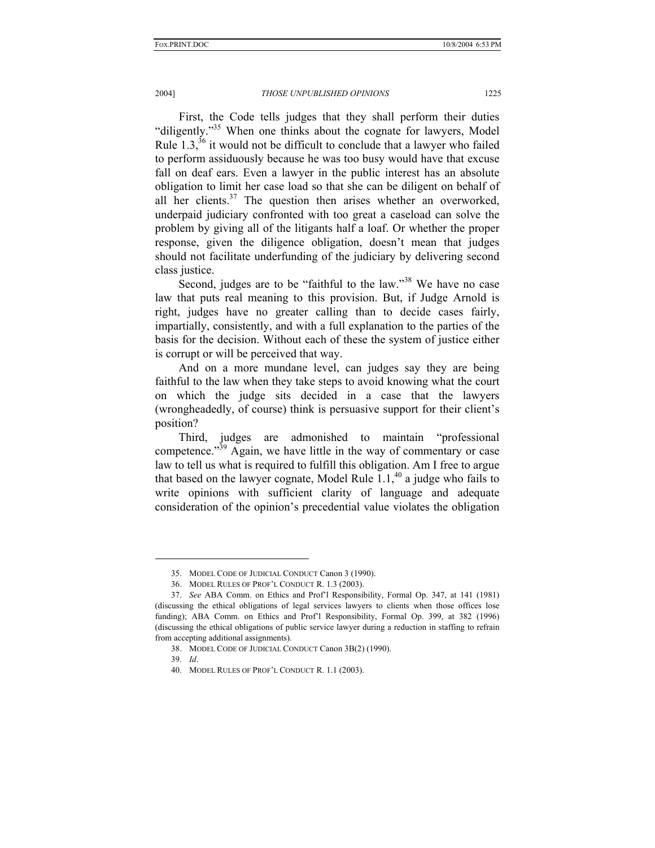## 2004] *THOSE UNPUBLISHED OPINIONS* 1225

First, the Code tells judges that they shall perform their duties "diligently."35 When one thinks about the cognate for lawyers, Model Rule  $1.3$ ,<sup>36</sup> it would not be difficult to conclude that a lawyer who failed to perform assiduously because he was too busy would have that excuse fall on deaf ears. Even a lawyer in the public interest has an absolute obligation to limit her case load so that she can be diligent on behalf of all her clients. $37$  The question then arises whether an overworked, underpaid judiciary confronted with too great a caseload can solve the problem by giving all of the litigants half a loaf. Or whether the proper response, given the diligence obligation, doesn't mean that judges should not facilitate underfunding of the judiciary by delivering second class justice.

Second, judges are to be "faithful to the law."<sup>38</sup> We have no case law that puts real meaning to this provision. But, if Judge Arnold is right, judges have no greater calling than to decide cases fairly, impartially, consistently, and with a full explanation to the parties of the basis for the decision. Without each of these the system of justice either is corrupt or will be perceived that way.

And on a more mundane level, can judges say they are being faithful to the law when they take steps to avoid knowing what the court on which the judge sits decided in a case that the lawyers (wrongheadedly, of course) think is persuasive support for their client's position?

Third, judges are admonished to maintain "professional competence."39 Again, we have little in the way of commentary or case law to tell us what is required to fulfill this obligation. Am I free to argue that based on the lawyer cognate, Model Rule  $1.1<sup>40</sup>$  a judge who fails to write opinions with sufficient clarity of language and adequate consideration of the opinion's precedential value violates the obligation

 <sup>35.</sup> MODEL CODE OF JUDICIAL CONDUCT Canon 3 (1990).

 <sup>36.</sup> MODEL RULES OF PROF'L CONDUCT R. 1.3 (2003).

 <sup>37.</sup> *See* ABA Comm. on Ethics and Prof'l Responsibility, Formal Op. 347, at 141 (1981) (discussing the ethical obligations of legal services lawyers to clients when those offices lose funding); ABA Comm. on Ethics and Prof'l Responsibility, Formal Op. 399, at 382 (1996) (discussing the ethical obligations of public service lawyer during a reduction in staffing to refrain from accepting additional assignments).

 <sup>38.</sup> MODEL CODE OF JUDICIAL CONDUCT Canon 3B(2) (1990).

 <sup>39.</sup> *Id*.

 <sup>40.</sup> MODEL RULES OF PROF'L CONDUCT R. 1.1 (2003).